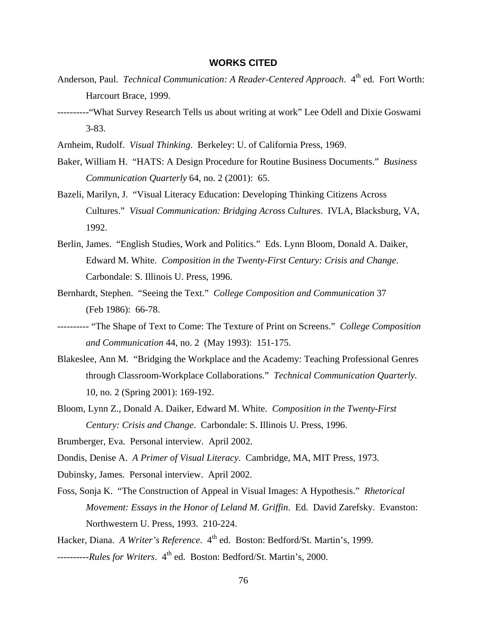## **WORKS CITED**

- Anderson, Paul. *Technical Communication: A Reader-Centered Approach*. 4<sup>th</sup> ed. Fort Worth: Harcourt Brace, 1999.
- ----------"What Survey Research Tells us about writing at work" Lee Odell and Dixie Goswami 3-83.
- Arnheim, Rudolf. *Visual Thinking*. Berkeley: U. of California Press, 1969.
- Baker, William H. "HATS: A Design Procedure for Routine Business Documents." *Business Communication Quarterly* 64, no. 2 (2001): 65.
- Bazeli, Marilyn, J. "Visual Literacy Education: Developing Thinking Citizens Across Cultures." *Visual Communication: Bridging Across Cultures*. IVLA, Blacksburg, VA, 1992.
- Berlin, James. "English Studies, Work and Politics." Eds. Lynn Bloom, Donald A. Daiker, Edward M. White. *Composition in the Twenty-First Century: Crisis and Change*. Carbondale: S. Illinois U. Press, 1996.
- Bernhardt, Stephen. "Seeing the Text." *College Composition and Communication* 37 (Feb 1986): 66-78.
- ---------- "The Shape of Text to Come: The Texture of Print on Screens." *College Composition and Communication* 44, no. 2 (May 1993): 151-175.
- Blakeslee, Ann M. "Bridging the Workplace and the Academy: Teaching Professional Genres through Classroom-Workplace Collaborations." *Technical Communication Quarterly*. 10, no. 2 (Spring 2001): 169-192.
- Bloom, Lynn Z., Donald A. Daiker, Edward M. White. *Composition in the Twenty-First Century: Crisis and Change*. Carbondale: S. Illinois U. Press, 1996.
- Brumberger, Eva. Personal interview. April 2002.
- Dondis, Denise A. *A Primer of Visual Literacy*. Cambridge, MA, MIT Press, 1973.
- Dubinsky, James. Personal interview. April 2002.
- Foss, Sonja K. "The Construction of Appeal in Visual Images: A Hypothesis." *Rhetorical Movement: Essays in the Honor of Leland M. Griffin*. Ed. David Zarefsky. Evanston: Northwestern U. Press, 1993. 210-224.

Hacker, Diana. *A Writer's Reference*. 4<sup>th</sup> ed. Boston: Bedford/St. Martin's, 1999.

---------*Rules for Writers*. 4<sup>th</sup> ed. Boston: Bedford/St. Martin's, 2000.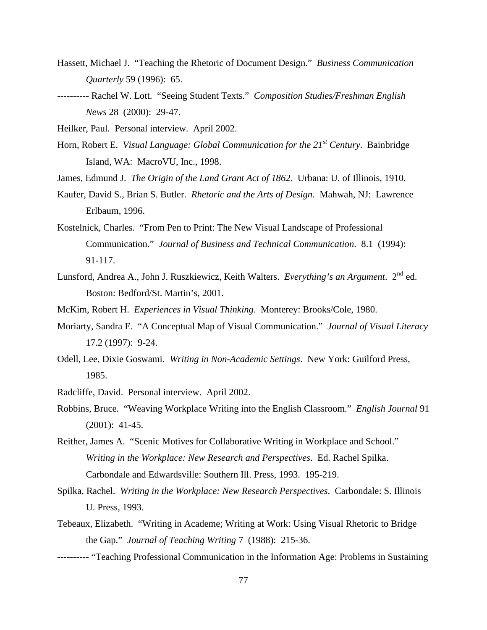- Hassett, Michael J. "Teaching the Rhetoric of Document Design." *Business Communication Quarterly* 59 (1996): 65.
- ---------- Rachel W. Lott. "Seeing Student Texts." *Composition Studies/Freshman English News* 28 (2000): 29-47.
- Heilker, Paul. Personal interview. April 2002.
- Horn, Robert E. *Visual Language: Global Communication for the 21st Century*. Bainbridge Island, WA: MacroVU, Inc., 1998.
- James, Edmund J. *The Origin of the Land Grant Act of 1862*. Urbana: U. of Illinois, 1910.
- Kaufer, David S., Brian S. Butler. *Rhetoric and the Arts of Design*. Mahwah, NJ: Lawrence Erlbaum, 1996.
- Kostelnick, Charles. "From Pen to Print: The New Visual Landscape of Professional Communication." *Journal of Business and Technical Communication*. 8.1 (1994): 91-117.
- Lunsford, Andrea A., John J. Ruszkiewicz, Keith Walters. *Everything's an Argument*. 2<sup>nd</sup> ed. Boston: Bedford/St. Martin's, 2001.
- McKim, Robert H. *Experiences in Visual Thinking*. Monterey: Brooks/Cole, 1980.
- Moriarty, Sandra E. "A Conceptual Map of Visual Communication." *Journal of Visual Literacy* 17.2 (1997): 9-24.
- Odell, Lee, Dixie Goswami. *Writing in Non-Academic Settings*. New York: Guilford Press, 1985.
- Radcliffe, David. Personal interview. April 2002.
- Robbins, Bruce. "Weaving Workplace Writing into the English Classroom." *English Journal* 91 (2001): 41-45.
- Reither, James A. "Scenic Motives for Collaborative Writing in Workplace and School." *Writing in the Workplace: New Research and Perspectives*. Ed. Rachel Spilka. Carbondale and Edwardsville: Southern Ill. Press, 1993. 195-219.
- Spilka, Rachel. *Writing in the Workplace: New Research Perspectives*. Carbondale: S. Illinois U. Press, 1993.
- Tebeaux, Elizabeth. "Writing in Academe; Writing at Work: Using Visual Rhetoric to Bridge the Gap." *Journal of Teaching Writing* 7 (1988): 215-36.
- ---------- "Teaching Professional Communication in the Information Age: Problems in Sustaining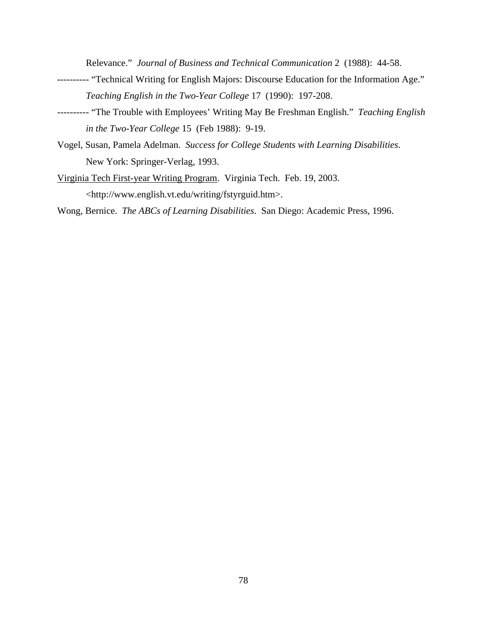Relevance." *Journal of Business and Technical Communication* 2 (1988): 44-58.

- ---------- "Technical Writing for English Majors: Discourse Education for the Information Age." *Teaching English in the Two-Year College* 17 (1990): 197-208.
- ---------- "The Trouble with Employees' Writing May Be Freshman English." *Teaching English in the Two-Year College* 15 (Feb 1988): 9-19.
- Vogel, Susan, Pamela Adelman. *Success for College Students with Learning Disabilities*. New York: Springer-Verlag, 1993.
- Virginia Tech First-year Writing Program. Virginia Tech. Feb. 19, 2003. <http://www.english.vt.edu/writing/fstyrguid.htm>.

Wong, Bernice. *The ABCs of Learning Disabilities*. San Diego: Academic Press, 1996.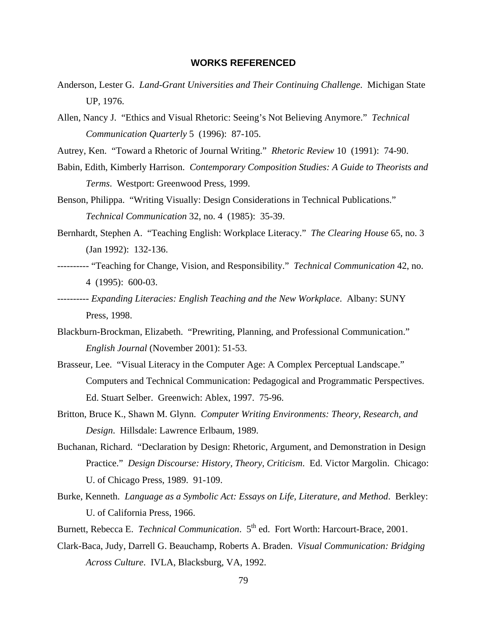## **WORKS REFERENCED**

- Anderson, Lester G. *Land-Grant Universities and Their Continuing Challenge*. Michigan State UP, 1976.
- Allen, Nancy J. "Ethics and Visual Rhetoric: Seeing's Not Believing Anymore." *Technical Communication Quarterly* 5 (1996): 87-105.
- Autrey, Ken. "Toward a Rhetoric of Journal Writing." *Rhetoric Review* 10 (1991): 74-90.
- Babin, Edith, Kimberly Harrison. *Contemporary Composition Studies: A Guide to Theorists and Terms*. Westport: Greenwood Press, 1999.
- Benson, Philippa. "Writing Visually: Design Considerations in Technical Publications." *Technical Communication* 32, no. 4 (1985): 35-39.
- Bernhardt, Stephen A. "Teaching English: Workplace Literacy." *The Clearing House* 65, no. 3 (Jan 1992): 132-136.
- ---------- "Teaching for Change, Vision, and Responsibility." *Technical Communication* 42, no. 4 (1995): 600-03.
- ---------- *Expanding Literacies: English Teaching and the New Workplace*. Albany: SUNY Press, 1998.
- Blackburn-Brockman, Elizabeth. "Prewriting, Planning, and Professional Communication." *English Journal* (November 2001): 51-53.
- Brasseur, Lee. "Visual Literacy in the Computer Age: A Complex Perceptual Landscape." Computers and Technical Communication: Pedagogical and Programmatic Perspectives. Ed. Stuart Selber. Greenwich: Ablex, 1997. 75-96.
- Britton, Bruce K., Shawn M. Glynn. *Computer Writing Environments: Theory, Research, and Design*. Hillsdale: Lawrence Erlbaum, 1989.
- Buchanan, Richard. "Declaration by Design: Rhetoric, Argument, and Demonstration in Design Practice." *Design Discourse: History, Theory, Criticism*. Ed. Victor Margolin. Chicago: U. of Chicago Press, 1989. 91-109.
- Burke, Kenneth. *Language as a Symbolic Act: Essays on Life, Literature, and Method*. Berkley: U. of California Press, 1966.
- Burnett, Rebecca E. *Technical Communication*. 5<sup>th</sup> ed. Fort Worth: Harcourt-Brace, 2001.
- Clark-Baca, Judy, Darrell G. Beauchamp, Roberts A. Braden. *Visual Communication: Bridging Across Culture*. IVLA, Blacksburg, VA, 1992.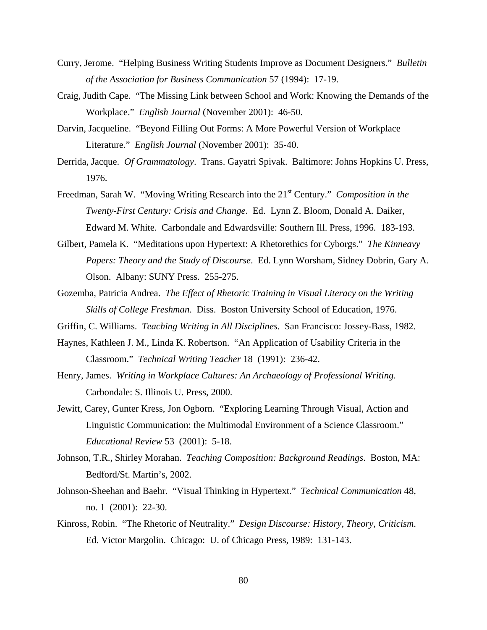- Curry, Jerome. "Helping Business Writing Students Improve as Document Designers." *Bulletin of the Association for Business Communication* 57 (1994): 17-19.
- Craig, Judith Cape. "The Missing Link between School and Work: Knowing the Demands of the Workplace." *English Journal* (November 2001): 46-50.
- Darvin, Jacqueline. "Beyond Filling Out Forms: A More Powerful Version of Workplace Literature." *English Journal* (November 2001): 35-40.
- Derrida, Jacque. *Of Grammatology*. Trans. Gayatri Spivak. Baltimore: Johns Hopkins U. Press, 1976.
- Freedman, Sarah W. "Moving Writing Research into the 21<sup>st</sup> Century." *Composition in the Twenty-First Century: Crisis and Change*. Ed. Lynn Z. Bloom, Donald A. Daiker, Edward M. White. Carbondale and Edwardsville: Southern Ill. Press, 1996. 183-193.
- Gilbert, Pamela K. "Meditations upon Hypertext: A Rhetorethics for Cyborgs." *The Kinneavy Papers: Theory and the Study of Discourse*. Ed. Lynn Worsham, Sidney Dobrin, Gary A. Olson. Albany: SUNY Press. 255-275.
- Gozemba, Patricia Andrea. *The Effect of Rhetoric Training in Visual Literacy on the Writing Skills of College Freshman*. Diss. Boston University School of Education, 1976.
- Griffin, C. Williams. *Teaching Writing in All Disciplines*. San Francisco: Jossey-Bass, 1982.
- Haynes, Kathleen J. M., Linda K. Robertson. "An Application of Usability Criteria in the Classroom." *Technical Writing Teacher* 18 (1991): 236-42.
- Henry, James. *Writing in Workplace Cultures: An Archaeology of Professional Writing*. Carbondale: S. Illinois U. Press, 2000.
- Jewitt, Carey, Gunter Kress, Jon Ogborn. "Exploring Learning Through Visual, Action and Linguistic Communication: the Multimodal Environment of a Science Classroom." *Educational Review* 53 (2001): 5-18.
- Johnson, T.R., Shirley Morahan. *Teaching Composition: Background Readings*. Boston, MA: Bedford/St. Martin's, 2002.
- Johnson-Sheehan and Baehr. "Visual Thinking in Hypertext." *Technical Communication* 48, no. 1 (2001): 22-30.
- Kinross, Robin. "The Rhetoric of Neutrality." *Design Discourse: History, Theory, Criticism*. Ed. Victor Margolin. Chicago: U. of Chicago Press, 1989: 131-143.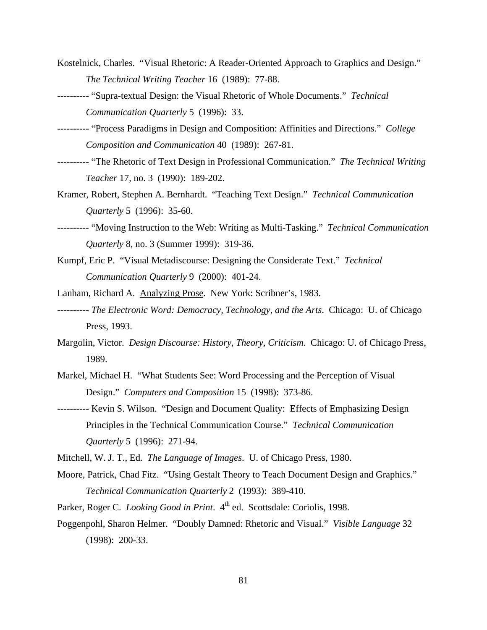- Kostelnick, Charles. "Visual Rhetoric: A Reader-Oriented Approach to Graphics and Design." *The Technical Writing Teacher* 16 (1989): 77-88.
- ---------- "Supra-textual Design: the Visual Rhetoric of Whole Documents." *Technical Communication Quarterly* 5 (1996): 33.
- ---------- "Process Paradigms in Design and Composition: Affinities and Directions." *College Composition and Communication* 40 (1989): 267-81.
- ---------- "The Rhetoric of Text Design in Professional Communication." *The Technical Writing Teacher* 17, no. 3 (1990): 189-202.
- Kramer, Robert, Stephen A. Bernhardt. "Teaching Text Design." *Technical Communication Quarterly* 5 (1996): 35-60.
- ---------- "Moving Instruction to the Web: Writing as Multi-Tasking." *Technical Communication Quarterly* 8, no. 3 (Summer 1999): 319-36.
- Kumpf, Eric P. "Visual Metadiscourse: Designing the Considerate Text." *Technical Communication Quarterly* 9 (2000): 401-24.
- Lanham, Richard A. Analyzing Prose. New York: Scribner's, 1983.
- ---------- *The Electronic Word: Democracy, Technology, and the Arts*. Chicago: U. of Chicago Press, 1993.
- Margolin, Victor. *Design Discourse: History, Theory, Criticism*. Chicago: U. of Chicago Press, 1989.
- Markel, Michael H. "What Students See: Word Processing and the Perception of Visual Design." *Computers and Composition* 15 (1998): 373-86.
- ---------- Kevin S. Wilson. "Design and Document Quality: Effects of Emphasizing Design Principles in the Technical Communication Course." *Technical Communication Quarterly* 5 (1996): 271-94.
- Mitchell, W. J. T., Ed. *The Language of Images*. U. of Chicago Press, 1980.
- Moore, Patrick, Chad Fitz. "Using Gestalt Theory to Teach Document Design and Graphics." *Technical Communication Quarterly* 2 (1993): 389-410.
- Parker, Roger C. *Looking Good in Print*. 4<sup>th</sup> ed. Scottsdale: Coriolis, 1998.
- Poggenpohl, Sharon Helmer. "Doubly Damned: Rhetoric and Visual." *Visible Language* 32 (1998): 200-33.